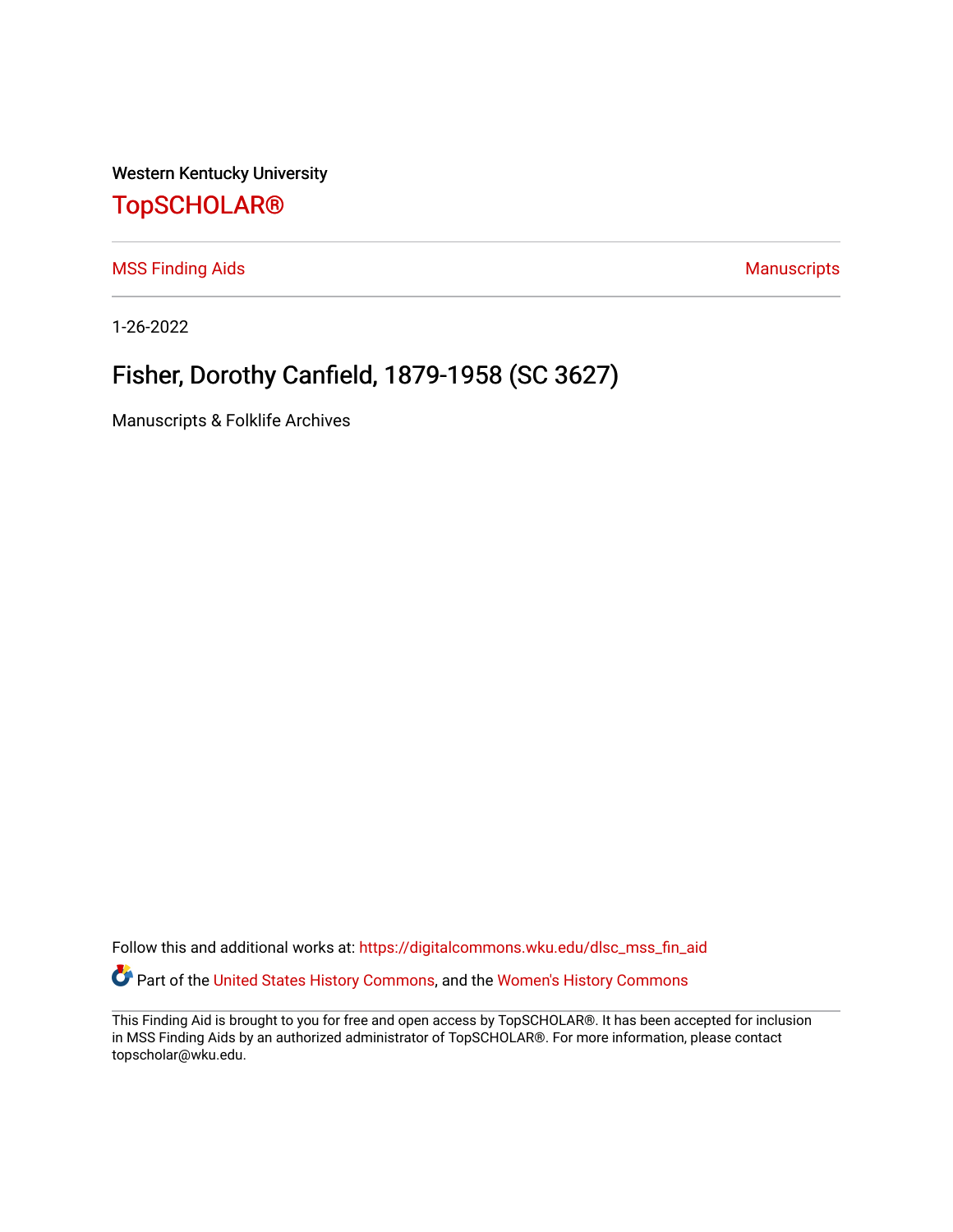Western Kentucky University

## [TopSCHOLAR®](https://digitalcommons.wku.edu/)

[MSS Finding Aids](https://digitalcommons.wku.edu/dlsc_mss_fin_aid) **MSS** Finding Aids **Manuscripts** Manuscripts

1-26-2022

# Fisher, Dorothy Canfield, 1879-1958 (SC 3627)

Manuscripts & Folklife Archives

Follow this and additional works at: [https://digitalcommons.wku.edu/dlsc\\_mss\\_fin\\_aid](https://digitalcommons.wku.edu/dlsc_mss_fin_aid?utm_source=digitalcommons.wku.edu%2Fdlsc_mss_fin_aid%2F4991&utm_medium=PDF&utm_campaign=PDFCoverPages)  Part of the [United States History Commons,](http://network.bepress.com/hgg/discipline/495?utm_source=digitalcommons.wku.edu%2Fdlsc_mss_fin_aid%2F4991&utm_medium=PDF&utm_campaign=PDFCoverPages) and the [Women's History Commons](http://network.bepress.com/hgg/discipline/507?utm_source=digitalcommons.wku.edu%2Fdlsc_mss_fin_aid%2F4991&utm_medium=PDF&utm_campaign=PDFCoverPages)

This Finding Aid is brought to you for free and open access by TopSCHOLAR®. It has been accepted for inclusion in MSS Finding Aids by an authorized administrator of TopSCHOLAR®. For more information, please contact topscholar@wku.edu.